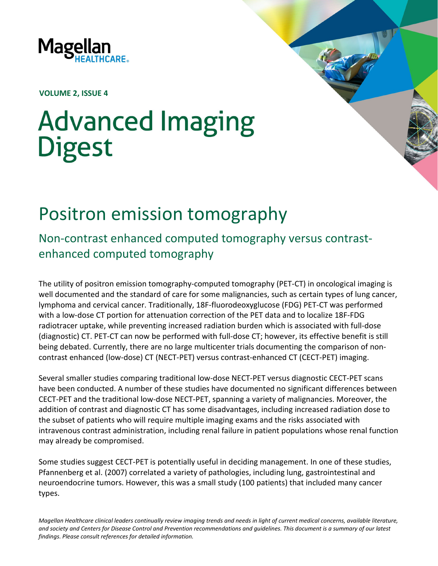

**VOLUME 2, ISSUE 4**

## **Advanced Imaging Digest**

## Positron emission tomography

Non-contrast enhanced computed tomography versus contrastenhanced computed tomography

The utility of positron emission tomography-computed tomography (PET-CT) in oncological imaging is well documented and the standard of care for some malignancies, such as certain types of lung cancer, lymphoma and cervical cancer. Traditionally, 18F-fluorodeoxyglucose (FDG) PET-CT was performed with a low-dose CT portion for attenuation correction of the PET data and to localize 18F-FDG radiotracer uptake, while preventing increased radiation burden which is associated with full-dose (diagnostic) CT. PET-CT can now be performed with full-dose CT; however, its effective benefit is still being debated. Currently, there are no large multicenter trials documenting the comparison of noncontrast enhanced (low-dose) CT (NECT-PET) versus contrast-enhanced CT (CECT-PET) imaging.

Several smaller studies comparing traditional low-dose NECT-PET versus diagnostic CECT-PET scans have been conducted. A number of these studies have documented no significant differences between CECT-PET and the traditional low-dose NECT-PET, spanning a variety of malignancies. Moreover, the addition of contrast and diagnostic CT has some disadvantages, including increased radiation dose to the subset of patients who will require multiple imaging exams and the risks associated with intravenous contrast administration, including renal failure in patient populations whose renal function may already be compromised.

Some studies suggest CECT-PET is potentially useful in deciding management. In one of these studies, Pfannenberg et al. (2007) correlated a variety of pathologies, including lung, gastrointestinal and neuroendocrine tumors. However, this was a small study (100 patients) that included many cancer types.

*Magellan Healthcare clinical leaders continually review imaging trends and needs in light of current medical concerns, available literature, and society and Centers for Disease Control and Prevention recommendations and guidelines. This document is a summary of our latest findings. Please consult references for detailed information.*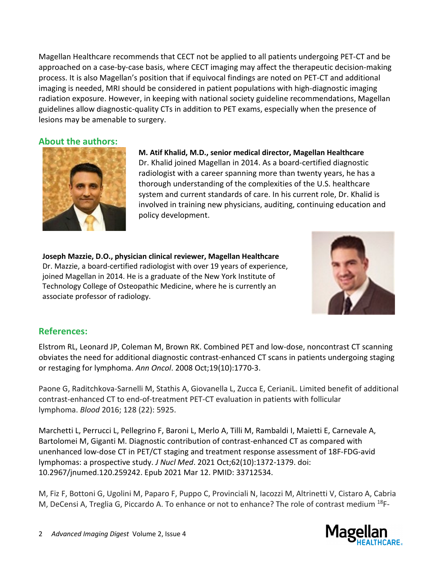Magellan Healthcare recommends that CECT not be applied to all patients undergoing PET-CT and be approached on a case-by-case basis, where CECT imaging may affect the therapeutic decision-making process. It is also Magellan's position that if equivocal findings are noted on PET-CT and additional imaging is needed, MRI should be considered in patient populations with high-diagnostic imaging radiation exposure. However, in keeping with national society guideline recommendations, Magellan guidelines allow diagnostic-quality CTs in addition to PET exams, especially when the presence of lesions may be amenable to surgery.

## **About the authors:**



**M. Atif Khalid, M.D., senior medical director, Magellan Healthcare**  Dr. Khalid joined Magellan in 2014. As a board-certified diagnostic radiologist with a career spanning more than twenty years, he has a thorough understanding of the complexities of the U.S. healthcare system and current standards of care. In his current role, Dr. Khalid is involved in training new physicians, auditing, continuing education and policy development.

**Joseph Mazzie, D.O., physician clinical reviewer, Magellan Healthcare**  Dr. Mazzie, a board-certified radiologist with over 19 years of experience, joined Magellan in 2014. He is a graduate of the New York Institute of Technology College of Osteopathic Medicine, where he is currently an associate professor of radiology.



## **References:**

Elstrom RL, Leonard JP, Coleman M, Brown RK. Combined PET and low-dose, noncontrast CT scanning obviates the need for additional diagnostic contrast-enhanced CT scans in patients undergoing staging or restaging for lymphoma. *Ann Oncol*. 2008 Oct;19(10):1770-3.

Paone G, Raditchkova-Sarnelli M, Stathis A, Giovanella L, Zucca E, CerianiL. Limited benefit of additional contrast-enhanced CT to end-of-treatment PET-CT evaluation in patients with follicular lymphoma. *Blood* 2016; 128 (22): 5925.

Marchetti L, Perrucci L, Pellegrino F, Baroni L, Merlo A, Tilli M, Rambaldi I, Maietti E, Carnevale A, Bartolomei M, Giganti M. Diagnostic contribution of contrast-enhanced CT as compared with unenhanced low-dose CT in PET/CT staging and treatment response assessment of 18F-FDG-avid lymphomas: a prospective study. *J Nucl Med*. 2021 Oct;62(10):1372-1379. doi: 10.2967/jnumed.120.259242. Epub 2021 Mar 12. PMID: 33712534.

M, Fiz F, Bottoni G, Ugolini M, Paparo F, Puppo C, Provinciali N, Iacozzi M, Altrinetti V, Cistaro A, Cabria M, DeCensi A, Treglia G, Piccardo A. To enhance or not to enhance? The role of contrast medium <sup>18</sup>F-